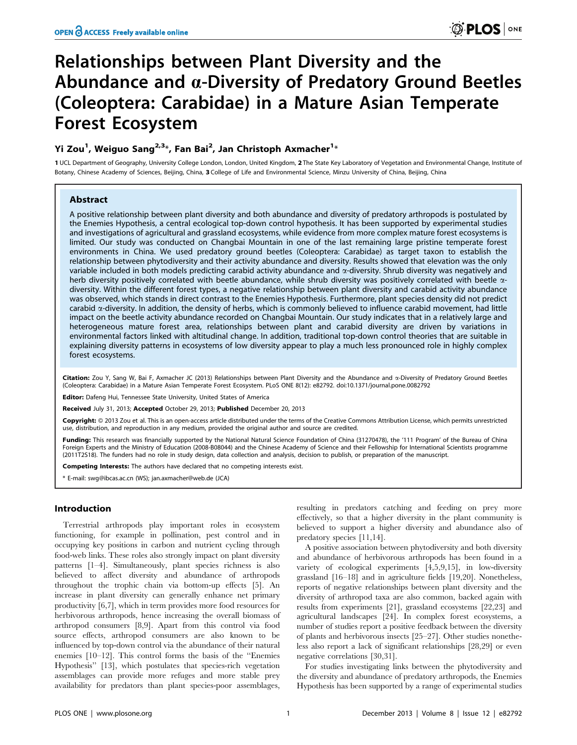# Relationships between Plant Diversity and the Abundance and  $\alpha$ -Diversity of Predatory Ground Beetles (Coleoptera: Carabidae) in a Mature Asian Temperate Forest Ecosystem

# Yi Zou<sup>1</sup>, Weiguo Sang<sup>2,3</sup>\*, Fan Bai<sup>2</sup>, Jan Christoph Axmacher<sup>1</sup>\*

1 UCL Department of Geography, University College London, London, United Kingdom, 2 The State Key Laboratory of Vegetation and Environmental Change, Institute of Botany, Chinese Academy of Sciences, Beijing, China, 3 College of Life and Environmental Science, Minzu University of China, Beijing, China

# Abstract

A positive relationship between plant diversity and both abundance and diversity of predatory arthropods is postulated by the Enemies Hypothesis, a central ecological top-down control hypothesis. It has been supported by experimental studies and investigations of agricultural and grassland ecosystems, while evidence from more complex mature forest ecosystems is limited. Our study was conducted on Changbai Mountain in one of the last remaining large pristine temperate forest environments in China. We used predatory ground beetles (Coleoptera: Carabidae) as target taxon to establish the relationship between phytodiversity and their activity abundance and diversity. Results showed that elevation was the only variable included in both models predicting carabid activity abundance and  $\alpha$ -diversity. Shrub diversity was negatively and herb diversity positively correlated with beetle abundance, while shrub diversity was positively correlated with beetle  $\alpha$ diversity. Within the different forest types, a negative relationship between plant diversity and carabid activity abundance was observed, which stands in direct contrast to the Enemies Hypothesis. Furthermore, plant species density did not predict carabid  $\alpha$ -diversity. In addition, the density of herbs, which is commonly believed to influence carabid movement, had little impact on the beetle activity abundance recorded on Changbai Mountain. Our study indicates that in a relatively large and heterogeneous mature forest area, relationships between plant and carabid diversity are driven by variations in environmental factors linked with altitudinal change. In addition, traditional top-down control theories that are suitable in explaining diversity patterns in ecosystems of low diversity appear to play a much less pronounced role in highly complex forest ecosystems.

Citation: Zou Y, Sang W, Bai F, Axmacher JC (2013) Relationships between Plant Diversity and the Abundance and x-Diversity of Predatory Ground Beetles (Coleoptera: Carabidae) in a Mature Asian Temperate Forest Ecosystem. PLoS ONE 8(12): e82792. doi:10.1371/journal.pone.0082792

Editor: Dafeng Hui, Tennessee State University, United States of America

Received July 31, 2013; Accepted October 29, 2013; Published December 20, 2013

Copyright: © 2013 Zou et al. This is an open-access article distributed under the terms of the Creative Commons Attribution License, which permits unrestricted use, distribution, and reproduction in any medium, provided the original author and source are credited.

Funding: This research was financially supported by the National Natural Science Foundation of China (31270478), the '111 Program' of the Bureau of China Foreign Experts and the Ministry of Education (2008-B08044) and the Chinese Academy of Science and their Fellowship for International Scientists programme (2011T2S18). The funders had no role in study design, data collection and analysis, decision to publish, or preparation of the manuscript.

Competing Interests: The authors have declared that no competing interests exist.

\* E-mail: swg@ibcas.ac.cn (WS); jan.axmacher@web.de (JCA)

## Introduction

Terrestrial arthropods play important roles in ecosystem functioning, for example in pollination, pest control and in occupying key positions in carbon and nutrient cycling through food-web links. These roles also strongly impact on plant diversity patterns [1–4]. Simultaneously, plant species richness is also believed to affect diversity and abundance of arthropods throughout the trophic chain via bottom-up effects [5]. An increase in plant diversity can generally enhance net primary productivity [6,7], which in term provides more food resources for herbivorous arthropods, hence increasing the overall biomass of arthropod consumers [8,9]. Apart from this control via food source effects, arthropod consumers are also known to be influenced by top-down control via the abundance of their natural enemies [10–12]. This control forms the basis of the ''Enemies Hypothesis'' [13], which postulates that species-rich vegetation assemblages can provide more refuges and more stable prey availability for predators than plant species-poor assemblages,

resulting in predators catching and feeding on prey more effectively, so that a higher diversity in the plant community is believed to support a higher diversity and abundance also of predatory species [11,14].

A positive association between phytodiversity and both diversity and abundance of herbivorous arthropods has been found in a variety of ecological experiments [4,5,9,15], in low-diversity grassland [16–18] and in agriculture fields [19,20]. Nonetheless, reports of negative relationships between plant diversity and the diversity of arthropod taxa are also common, backed again with results from experiments [21], grassland ecosystems [22,23] and agricultural landscapes [24]. In complex forest ecosystems, a number of studies report a positive feedback between the diversity of plants and herbivorous insects [25–27]. Other studies nonetheless also report a lack of significant relationships [28,29] or even negative correlations [30,31].

For studies investigating links between the phytodiversity and the diversity and abundance of predatory arthropods, the Enemies Hypothesis has been supported by a range of experimental studies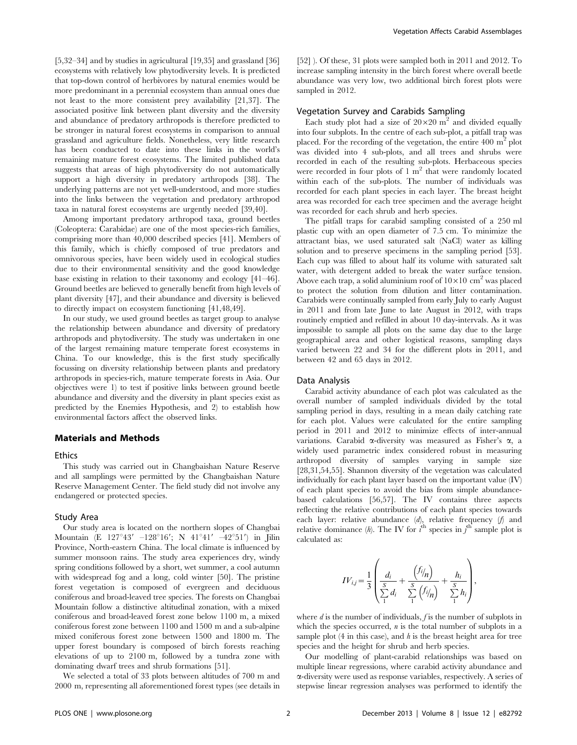[5,32–34] and by studies in agricultural [19,35] and grassland [36] ecosystems with relatively low phytodiversity levels. It is predicted that top-down control of herbivores by natural enemies would be more predominant in a perennial ecosystem than annual ones due not least to the more consistent prey availability [21,37]. The associated positive link between plant diversity and the diversity and abundance of predatory arthropods is therefore predicted to be stronger in natural forest ecosystems in comparison to annual grassland and agriculture fields. Nonetheless, very little research has been conducted to date into these links in the world's remaining mature forest ecosystems. The limited published data suggests that areas of high phytodiversity do not automatically support a high diversity in predatory arthropods [38]. The underlying patterns are not yet well-understood, and more studies into the links between the vegetation and predatory arthropod taxa in natural forest ecosystems are urgently needed [39,40].

Among important predatory arthropod taxa, ground beetles (Coleoptera: Carabidae) are one of the most species-rich families, comprising more than 40,000 described species [41]. Members of this family, which is chiefly composed of true predators and omnivorous species, have been widely used in ecological studies due to their environmental sensitivity and the good knowledge base existing in relation to their taxonomy and ecology [41–46]. Ground beetles are believed to generally benefit from high levels of plant diversity [47], and their abundance and diversity is believed to directly impact on ecosystem functioning [41,48,49].

In our study, we used ground beetles as target group to analyse the relationship between abundance and diversity of predatory arthropods and phytodiversity. The study was undertaken in one of the largest remaining mature temperate forest ecosystems in China. To our knowledge, this is the first study specifically focussing on diversity relationship between plants and predatory arthropods in species-rich, mature temperate forests in Asia. Our objectives were 1) to test if positive links between ground beetle abundance and diversity and the diversity in plant species exist as predicted by the Enemies Hypothesis, and 2) to establish how environmental factors affect the observed links.

#### Materials and Methods

#### Ethics

This study was carried out in Changbaishan Nature Reserve and all samplings were permitted by the Changbaishan Nature Reserve Management Center. The field study did not involve any endangered or protected species.

# Study Area

Our study area is located on the northern slopes of Changbai Mountain (E 127°43' –128°16'; N 41°41' –42°51') in Jilin Province, North-eastern China. The local climate is influenced by summer monsoon rains. The study area experiences dry, windy spring conditions followed by a short, wet summer, a cool autumn with widespread fog and a long, cold winter [50]. The pristine forest vegetation is composed of evergreen and deciduous coniferous and broad-leaved tree species. The forests on Changbai Mountain follow a distinctive altitudinal zonation, with a mixed coniferous and broad-leaved forest zone below 1100 m, a mixed coniferous forest zone between 1100 and 1500 m and a sub-alpine mixed coniferous forest zone between 1500 and 1800 m. The upper forest boundary is composed of birch forests reaching elevations of up to 2100 m, followed by a tundra zone with dominating dwarf trees and shrub formations [51].

We selected a total of 33 plots between altitudes of 700 m and 2000 m, representing all aforementioned forest types (see details in

[52] ). Of these, 31 plots were sampled both in 2011 and 2012. To increase sampling intensity in the birch forest where overall beetle abundance was very low, two additional birch forest plots were sampled in 2012.

### Vegetation Survey and Carabids Sampling

Each study plot had a size of  $20\times20$  m<sup>2</sup> and divided equally into four subplots. In the centre of each sub-plot, a pitfall trap was placed. For the recording of the vegetation, the entire  $400 \text{ m}^2$  plot was divided into 4 sub-plots, and all trees and shrubs were recorded in each of the resulting sub-plots. Herbaceous species were recorded in four plots of  $1 \text{ m}^2$  that were randomly located within each of the sub-plots. The number of individuals was recorded for each plant species in each layer. The breast height area was recorded for each tree specimen and the average height was recorded for each shrub and herb species.

The pitfall traps for carabid sampling consisted of a 250 ml plastic cup with an open diameter of 7.5 cm. To minimize the attractant bias, we used saturated salt (NaCl) water as killing solution and to preserve specimens in the sampling period [53]. Each cup was filled to about half its volume with saturated salt water, with detergent added to break the water surface tension. Above each trap, a solid aluminium roof of  $10\times10$  cm<sup>2</sup> was placed to protect the solution from dilution and litter contamination. Carabids were continually sampled from early July to early August in 2011 and from late June to late August in 2012, with traps routinely emptied and refilled in about 10 day-intervals. As it was impossible to sample all plots on the same day due to the large geographical area and other logistical reasons, sampling days varied between 22 and 34 for the different plots in 2011, and between 42 and 65 days in 2012.

#### Data Analysis

Carabid activity abundance of each plot was calculated as the overall number of sampled individuals divided by the total sampling period in days, resulting in a mean daily catching rate for each plot. Values were calculated for the entire sampling period in 2011 and 2012 to minimize effects of inter-annual variations. Carabid  $\alpha$ -diversity was measured as Fisher's  $\alpha$ , a widely used parametric index considered robust in measuring arthropod diversity of samples varying in sample size [28,31,54,55]. Shannon diversity of the vegetation was calculated individually for each plant layer based on the important value (IV) of each plant species to avoid the bias from simple abundancebased calculations [56,57]. The IV contains three aspects reflecting the relative contributions of each plant species towards each layer: relative abundance (d), relative frequency (f) and relative dominance (h). The IV for  $i^{\text{th}}$  species in  $j^{\text{th}}$  sample plot is calculated as:

$$
IV_{i,j} = \frac{1}{3} \left( \frac{d_i}{\sum_{i=1}^{S} d_i} + \frac{\left( \frac{f_{i}}{n} \right)}{\sum_{i=1}^{S} \left( \frac{f_{i}}{n} \right)} + \frac{h_i}{\sum_{i=1}^{S} h_i} \right),\,
$$

where  $d$  is the number of individuals,  $f$  is the number of subplots in which the species occurred,  $n$  is the total number of subplots in a sample plot  $(4 \text{ in this case})$ , and  $h$  is the breast height area for tree species and the height for shrub and herb species.

Our modelling of plant-carabid relationships was based on multiple linear regressions, where carabid activity abundance and a-diversity were used as response variables, respectively. A series of stepwise linear regression analyses was performed to identify the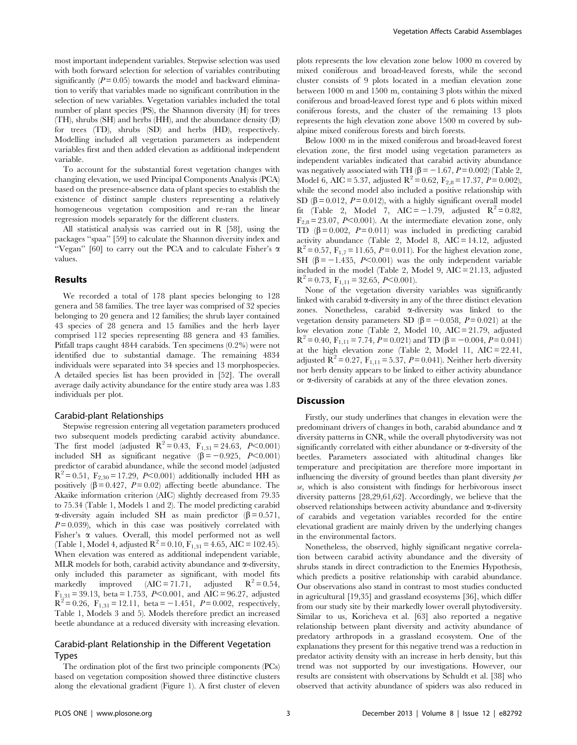most important independent variables. Stepwise selection was used with both forward selection for selection of variables contributing significantly  $(P = 0.05)$  towards the model and backward elimination to verify that variables made no significant contribution in the selection of new variables. Vegetation variables included the total number of plant species (PS), the Shannon diversity (H) for trees (TH), shrubs (SH) and herbs (HH), and the abundance density (D) for trees (TD), shrubs (SD) and herbs (HD), respectively. Modelling included all vegetation parameters as independent variables first and then added elevation as additional independent variable.

To account for the substantial forest vegetation changes with changing elevation, we used Principal Components Analysis (PCA) based on the presence-absence data of plant species to establish the existence of distinct sample clusters representing a relatively homogeneous vegetation composition and re-ran the linear regression models separately for the different clusters.

All statistical analysis was carried out in R [58], using the packages ''spaa'' [59] to calculate the Shannon diversity index and "Vegan" [60] to carry out the PCA and to calculate Fisher's  $\alpha$ values.

#### Results

We recorded a total of 178 plant species belonging to 128 genera and 58 families. The tree layer was comprised of 32 species belonging to 20 genera and 12 families; the shrub layer contained 43 species of 28 genera and 15 families and the herb layer comprised 112 species representing 88 genera and 43 families. Pitfall traps caught 4844 carabids. Ten specimens (0.2%) were not identified due to substantial damage. The remaining 4834 individuals were separated into 34 species and 13 morphospecies. A detailed species list has been provided in [52]. The overall average daily activity abundance for the entire study area was 1.83 individuals per plot.

#### Carabid-plant Relationships

Stepwise regression entering all vegetation parameters produced two subsequent models predicting carabid activity abundance. The first model (adjusted  $R^2 = 0.43$ ,  $F_{1,31} = 24.63$ ,  $P < 0.001$ ) included SH as significant negative  $(\beta = -0.925, P<0.001)$ predictor of carabid abundance, while the second model (adjusted  $R^2 = 0.51$ ,  $F_{2,30} = 17.29$ ,  $P<0.001$ ) additionally included HH as positively  $(\beta = 0.427, P = 0.02)$  affecting beetle abundance. The Akaike information criterion (AIC) slightly decreased from 79.35 to 75.34 (Table 1, Models 1 and 2). The model predicting carabid  $\alpha$ -diversity again included SH as main predictor ( $\beta$  = 0.571,  $P = 0.039$ ), which in this case was positively correlated with Fisher's  $\alpha$  values. Overall, this model performed not as well (Table 1, Model 4, adjusted  $R^2 = 0.10$ ,  $F_{1,31} = 4.65$ , AIC = 102.45). When elevation was entered as additional independent variable, MLR models for both, carabid activity abundance and  $\alpha$ -diversity, only included this parameter as significant, with model fits markedly improved  $(AIC = 71.71, \text{ adjusted } R^2 = 0.54,$  $F_{1,31}$  = 39.13, beta = 1.753, P<0.001, and AIC = 96.27, adjusted  $R^{2} = 0.26$ ,  $F_{1,31} = 12.11$ , beta = -1.451,  $P = 0.002$ , respectively, Table 1, Models 3 and 5). Models therefore predict an increased beetle abundance at a reduced diversity with increasing elevation.

# Carabid-plant Relationship in the Different Vegetation Types

The ordination plot of the first two principle components (PCs) based on vegetation composition showed three distinctive clusters along the elevational gradient (Figure 1). A first cluster of eleven plots represents the low elevation zone below 1000 m covered by mixed coniferous and broad-leaved forests, while the second cluster consists of 9 plots located in a median elevation zone between 1000 m and 1500 m, containing 3 plots within the mixed coniferous and broad-leaved forest type and 6 plots within mixed coniferous forests, and the cluster of the remaining 13 plots represents the high elevation zone above 1500 m covered by subalpine mixed coniferous forests and birch forests.

Below 1000 m in the mixed coniferous and broad-leaved forest elevation zone, the first model using vegetation parameters as independent variables indicated that carabid activity abundance was negatively associated with TH ( $\beta$  = -1.67, P = 0.002) (Table 2, Model 6, AIC = 5.37, adjusted  $R^2 = 0.62$ ,  $F_{2,8} = 17.37$ ,  $P = 0.002$ ), while the second model also included a positive relationship with SD ( $\beta$  = 0.012, P = 0.012), with a highly significant overall model fit (Table 2, Model 7, AIC =  $-1.79$ , adjusted  $R^2=0.82$ ,  $F_{2,8} = 23.07$ , P $< 0.001$ ). At the intermediate elevation zone, only TD  $(\beta = 0.002, P = 0.011)$  was included in predicting carabid activity abundance (Table 2, Model 8, AIC = 14.12, adjusted  $R^2 = 0.57$ ,  $F_{1,7} = 11.65$ ,  $P = 0.011$ ). For the highest elevation zone, SH ( $\beta$  = -1.435, P<0.001) was the only independent variable included in the model (Table 2, Model 9,  $AIC = 21.13$ , adjusted  $R^2 = 0.73$ ,  $F_{1,11} = 32.65$ ,  $P < 0.001$ ).

None of the vegetation diversity variables was significantly linked with carabid  $\alpha$ -diversity in any of the three distinct elevation zones. Nonetheless, carabid  $\alpha$ -diversity was linked to the vegetation density parameters SD ( $\beta$  = -0.058, P = 0.021) at the low elevation zone (Table 2, Model 10, AIC = 21.79, adjusted  $R^{2} = 0.40$ ,  $F_{1,11} = 7.74$ ,  $P = 0.021$ ) and TD ( $\beta = -0.004$ ,  $P = 0.041$ ) at the high elevation zone (Table 2, Model 11, AIC = 22.41, adjusted  $R^2 = 0.27$ ,  $F_{1,11} = 5.37$ ,  $P = 0.041$ ). Neither herb diversity nor herb density appears to be linked to either activity abundance or a-diversity of carabids at any of the three elevation zones.

#### Discussion

Firstly, our study underlines that changes in elevation were the predominant drivers of changes in both, carabid abundance and  $\alpha$ diversity patterns in CNR, while the overall phytodiversity was not significantly correlated with either abundance or  $\alpha$ -diversity of the beetles. Parameters associated with altitudinal changes like temperature and precipitation are therefore more important in influencing the diversity of ground beetles than plant diversity per se, which is also consistent with findings for herbivorous insect diversity patterns [28,29,61,62]. Accordingly, we believe that the observed relationships between activity abundance and  $\alpha$ -diversity of carabids and vegetation variables recorded for the entire elevational gradient are mainly driven by the underlying changes in the environmental factors.

Nonetheless, the observed, highly significant negative correlation between carabid activity abundance and the diversity of shrubs stands in direct contradiction to the Enemies Hypothesis, which predicts a positive relationship with carabid abundance. Our observations also stand in contrast to most studies conducted in agricultural [19,35] and grassland ecosystems [36], which differ from our study site by their markedly lower overall phytodiversity. Similar to us, Koricheva et al. [63] also reported a negative relationship between plant diversity and activity abundance of predatory arthropods in a grassland ecosystem. One of the explanations they present for this negative trend was a reduction in predator activity density with an increase in herb density, but this trend was not supported by our investigations. However, our results are consistent with observations by Schuldt et al. [38] who observed that activity abundance of spiders was also reduced in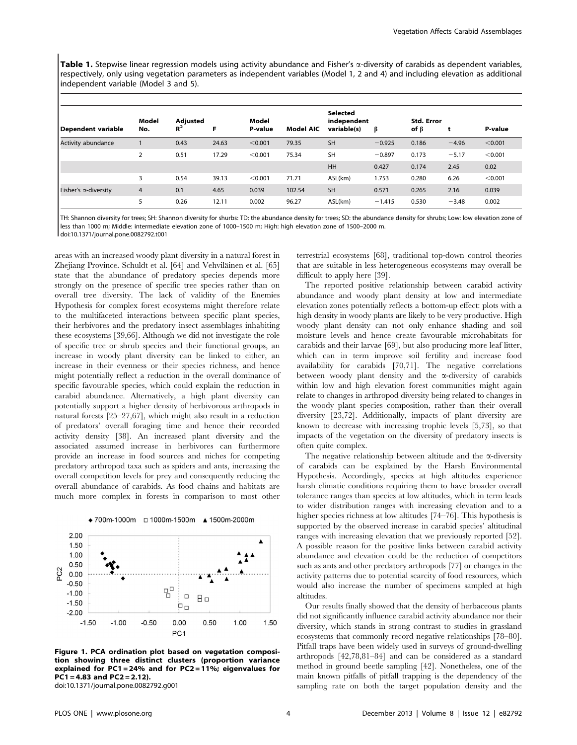Table 1. Stepwise linear regression models using activity abundance and Fisher's  $\alpha$ -diversity of carabids as dependent variables, respectively, only using vegetation parameters as independent variables (Model 1, 2 and 4) and including elevation as additional independent variable (Model 3 and 5).

|                              |                |                   |       |                  |                  | <b>Selected</b>            |          |                                 |         |         |
|------------------------------|----------------|-------------------|-------|------------------|------------------|----------------------------|----------|---------------------------------|---------|---------|
| Dependent variable           | Model<br>No.   | Adjusted<br>$R^2$ | F     | Model<br>P-value | <b>Model AIC</b> | independent<br>variable(s) | ß        | <b>Std. Error</b><br>of $\beta$ |         | P-value |
| Activity abundance           |                | 0.43              | 24.63 | < 0.001          | 79.35            | <b>SH</b>                  | $-0.925$ | 0.186                           | $-4.96$ | < 0.001 |
|                              | 2              | 0.51              | 17.29 | < 0.001          | 75.34            | <b>SH</b>                  | $-0.897$ | 0.173                           | $-5.17$ | < 0.001 |
|                              |                |                   |       |                  |                  | HH                         | 0.427    | 0.174                           | 2.45    | 0.02    |
|                              | 3              | 0.54              | 39.13 | < 0.001          | 71.71            | ASL(km)                    | 1.753    | 0.280                           | 6.26    | < 0.001 |
| Fisher's $\alpha$ -diversity | $\overline{4}$ | 0.1               | 4.65  | 0.039            | 102.54           | <b>SH</b>                  | 0.571    | 0.265                           | 2.16    | 0.039   |
|                              | 5              | 0.26              | 12.11 | 0.002            | 96.27            | ASL(km)                    | $-1.415$ | 0.530                           | $-3.48$ | 0.002   |

TH: Shannon diversity for trees; SH: Shannon diversity for shurbs: TD: the abundance density for trees; SD: the abundance density for shrubs; Low: low elevation zone of less than 1000 m; Middle: intermediate elevation zone of 1000–1500 m; High: high elevation zone of 1500–2000 m. doi:10.1371/journal.pone.0082792.t001

areas with an increased woody plant diversity in a natural forest in Zhejiang Province. Schuldt et al. [64] and Vehviläinen et al. [65] state that the abundance of predatory species depends more strongly on the presence of specific tree species rather than on overall tree diversity. The lack of validity of the Enemies Hypothesis for complex forest ecosystems might therefore relate to the multifaceted interactions between specific plant species, their herbivores and the predatory insect assemblages inhabiting these ecosystems [39,66]. Although we did not investigate the role of specific tree or shrub species and their functional groups, an increase in woody plant diversity can be linked to either, an increase in their evenness or their species richness, and hence might potentially reflect a reduction in the overall dominance of specific favourable species, which could explain the reduction in carabid abundance. Alternatively, a high plant diversity can potentially support a higher density of herbivorous arthropods in natural forests [25–27,67], which might also result in a reduction of predators' overall foraging time and hence their recorded activity density [38]. An increased plant diversity and the associated assumed increase in herbivores can furthermore provide an increase in food sources and niches for competing predatory arthropod taxa such as spiders and ants, increasing the overall competition levels for prey and consequently reducing the overall abundance of carabids. As food chains and habitats are much more complex in forests in comparison to most other





Figure 1. PCA ordination plot based on vegetation composition showing three distinct clusters (proportion variance explained for PC1 = 24% and for PC2 = 11%; eigenvalues for  $PC1 = 4.83$  and  $PC2 = 2.12$ ).

doi:10.1371/journal.pone.0082792.g001

terrestrial ecosystems [68], traditional top-down control theories that are suitable in less heterogeneous ecosystems may overall be difficult to apply here [39].

The reported positive relationship between carabid activity abundance and woody plant density at low and intermediate elevation zones potentially reflects a bottom-up effect: plots with a high density in woody plants are likely to be very productive. High woody plant density can not only enhance shading and soil moisture levels and hence create favourable microhabitats for carabids and their larvae [69], but also producing more leaf litter, which can in term improve soil fertility and increase food availability for carabids [70,71]. The negative correlations between woody plant density and the  $\alpha$ -diversity of carabids within low and high elevation forest communities might again relate to changes in arthropod diversity being related to changes in the woody plant species composition, rather than their overall diversity [23,72]. Additionally, impacts of plant diversity are known to decrease with increasing trophic levels [5,73], so that impacts of the vegetation on the diversity of predatory insects is often quite complex.

The negative relationship between altitude and the  $\alpha$ -diversity of carabids can be explained by the Harsh Environmental Hypothesis. Accordingly, species at high altitudes experience harsh climatic conditions requiring them to have broader overall tolerance ranges than species at low altitudes, which in term leads to wider distribution ranges with increasing elevation and to a higher species richness at low altitudes [74–76]. This hypothesis is supported by the observed increase in carabid species' altitudinal ranges with increasing elevation that we previously reported [52]. A possible reason for the positive links between carabid activity abundance and elevation could be the reduction of competitors such as ants and other predatory arthropods [77] or changes in the activity patterns due to potential scarcity of food resources, which would also increase the number of specimens sampled at high altitudes.

Our results finally showed that the density of herbaceous plants did not significantly influence carabid activity abundance nor their diversity, which stands in strong contrast to studies in grassland ecosystems that commonly record negative relationships [78–80]. Pitfall traps have been widely used in surveys of ground-dwelling arthropods [42,78,81–84] and can be considered as a standard method in ground beetle sampling [42]. Nonetheless, one of the main known pitfalls of pitfall trapping is the dependency of the sampling rate on both the target population density and the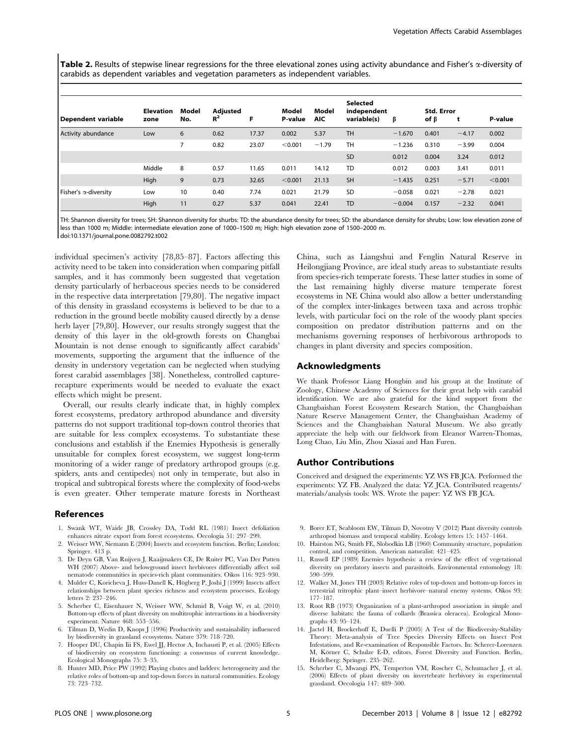Table 2. Results of stepwise linear regressions for the three elevational zones using activity abundance and Fisher's  $\alpha$ -diversity of carabids as dependent variables and vegetation parameters as independent variables.

|                      | <b>Elevation</b> | Model | Adjusted |       | Model   | Model      | <b>Selected</b><br>independent |          | <b>Std. Error</b> |         |         |
|----------------------|------------------|-------|----------|-------|---------|------------|--------------------------------|----------|-------------------|---------|---------|
| l Dependent variable | zone             | No.   | $R^2$    | F     | P-value | <b>AIC</b> | variable(s)                    | β        | of $\beta$        | t       | P-value |
| Activity abundance   | Low              | 6     | 0.62     | 17.37 | 0.002   | 5.37       | <b>TH</b>                      | $-1.670$ | 0.401             | $-4.17$ | 0.002   |
|                      |                  |       | 0.82     | 23.07 | < 0.001 | $-1.79$    | <b>TH</b>                      | $-1.236$ | 0.310             | $-3.99$ | 0.004   |
|                      |                  |       |          |       |         |            | <b>SD</b>                      | 0.012    | 0.004             | 3.24    | 0.012   |
|                      | Middle           | 8     | 0.57     | 11.65 | 0.011   | 14.12      | <b>TD</b>                      | 0.012    | 0.003             | 3.41    | 0.011   |
|                      | High             | 9     | 0.73     | 32.65 | < 0.001 | 21.13      | <b>SH</b>                      | $-1.435$ | 0.251             | $-5.71$ | < 0.001 |
| Fisher's a-diversity | Low              | 10    | 0.40     | 7.74  | 0.021   | 21.79      | <b>SD</b>                      | $-0.058$ | 0.021             | $-2.78$ | 0.021   |
|                      | High             | 11    | 0.27     | 5.37  | 0.041   | 22.41      | <b>TD</b>                      | $-0.004$ | 0.157             | $-2.32$ | 0.041   |

TH: Shannon diversity for trees; SH: Shannon diversity for shurbs: TD: the abundance density for trees; SD: the abundance density for shrubs; Low: low elevation zone of less than 1000 m; Middle: intermediate elevation zone of 1000–1500 m; High: high elevation zone of 1500–2000 m. doi:10.1371/journal.pone.0082792.t002

individual specimen's activity [78,85–87]. Factors affecting this activity need to be taken into consideration when comparing pitfall samples, and it has commonly been suggested that vegetation density particularly of herbaceous species needs to be considered in the respective data interpretation [79,80]. The negative impact of this density in grassland ecosystems is believed to be due to a reduction in the ground beetle mobility caused directly by a dense herb layer [79,80]. However, our results strongly suggest that the density of this layer in the old-growth forests on Changbai Mountain is not dense enough to significantly affect carabids' movements, supporting the argument that the influence of the density in understory vegetation can be neglected when studying forest carabid assemblages [38]. Nonetheless, controlled capturerecapture experiments would be needed to evaluate the exact

Overall, our results clearly indicate that, in highly complex forest ecosystems, predatory arthropod abundance and diversity patterns do not support traditional top-down control theories that are suitable for less complex ecosystems. To substantiate these conclusions and establish if the Enemies Hypothesis is generally unsuitable for complex forest ecosystem, we suggest long-term monitoring of a wider range of predatory arthropod groups (e.g. spiders, ants and centipedes) not only in temperate, but also in tropical and subtropical forests where the complexity of food-webs is even greater. Other temperate mature forests in Northeast

#### References

effects which might be present.

- 1. Swank WT, Waide JB, Crossley DA, Todd RL (1981) Insect defoliation enhances nitrate export from forest ecosystems. Oecologia 51: 297–299.
- 2. Weisser WW, Siemann E (2004) Insects and ecosystem function. Berlin; London: Springer. 413 p.
- 3. De Deyn GB, Van Ruijven J, Raaijmakers CE, De Ruiter PC, Van Der Putten WH (2007) Above- and belowground insect herbivores differentially affect soil nematode communities in species-rich plant communities. Oikos 116: 923–930.
- 4. Mulder C, Koricheva J, Huss-Danell K, Högberg P, Joshi J (1999) Insects affect relationships between plant species richness and ecosystem processes. Ecology letters 2: 237–246.
- 5. Scherber C, Eisenhauer N, Weisser WW, Schmid B, Voigt W, et al. (2010) Bottom-up effects of plant diversity on multitrophic interactions in a biodiversity experiment. Nature 468: 553–556.
- 6. Tilman D, Wedin D, Knops J (1996) Productivity and sustainability influenced by biodiversity in grassland ecosystems. Nature 379: 718–720.
- 7. Hooper DU, Chapin Iii FS, Ewel JJ, Hector A, Inchausti P, et al. (2005) Effects of biodiversity on ecosystem functioning: a consensus of current knowledge. Ecological Monographs 75: 3–35.
- 8. Hunter MD, Price PW (1992) Playing chutes and ladders: heterogeneity and the relative roles of bottom-up and top-down forces in natural communities. Ecology 73: 723–732.

China, such as Liangshui and Fenglin Natural Reserve in Heilongjiang Province, are ideal study areas to substantiate results from species-rich temperate forests. These latter studies in some of the last remaining highly diverse mature temperate forest ecosystems in NE China would also allow a better understanding of the complex inter-linkages between taxa and across trophic levels, with particular foci on the role of the woody plant species composition on predator distribution patterns and on the mechanisms governing responses of herbivorous arthropods to changes in plant diversity and species composition.

### Acknowledgments

We thank Professor Liang Hongbin and his group at the Institute of Zoology, Chinese Academy of Sciences for their great help with carabid identification. We are also grateful for the kind support from the Changbaishan Forest Ecosystem Research Station, the Changbaishan Nature Reserve Management Center, the Changbaishan Academy of Sciences and the Changbaishan Natural Museum. We also greatly appreciate the help with our fieldwork from Eleanor Warren-Thomas, Long Chao, Liu Min, Zhou Xiasai and Han Furen.

#### Author Contributions

Conceived and designed the experiments: YZ WS FB JCA. Performed the experiments: YZ FB. Analyzed the data: YZ JCA. Contributed reagents/ materials/analysis tools: WS. Wrote the paper: YZ WS FB JCA.

- 9. Borer ET, Seabloom EW, Tilman D, Novotny V (2012) Plant diversity controls arthropod biomass and temporal stability. Ecology letters 15: 1457–1464.
- 10. Hairston NG, Smith FE, Slobodkin LB (1960) Community structure, population control, and competition. American naturalist: 421–425.
- 11. Russell EP (1989) Enemies hypothesis: a review of the effect of vegetational diversity on predatory insects and parasitoids. Environmental entomology 18: 590–599.
- 12. Walker M, Jones TH (2003) Relative roles of top-down and bottom-up forces in terrestrial tritrophic plant–insect herbivore–natural enemy systems. Oikos 93: 177–187.
- 13. Root RB (1973) Organization of a plant-arthropod association in simple and diverse habitats: the fauna of collards (Brassica oleracea). Ecological Monographs 43: 95–124.
- 14. Jactel H, Brockerhoff E, Duelli P (2005) A Test of the Biodiversity-Stability Theory: Meta-analysis of Tree Species Diversity Effects on Insect Pest Infestations, and Re-examination of Responsible Factors. In: Scherer-Lorenzen M, Körner C, Schulze E-D, editors. Forest Diversity and Function. Berlin, Heidelberg: Springer. 235–262.
- 15. Scherber C, Mwangi PN, Temperton VM, Roscher C, Schumacher J, et al. (2006) Effects of plant diversity on invertebrate herbivory in experimental grassland. Oecologia 147: 489–500.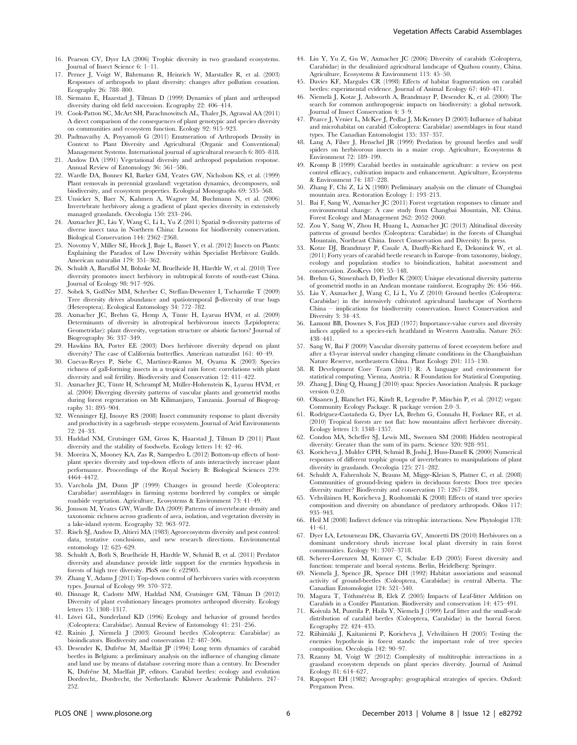- 17. Perner J, Voigt W, Bährmann R, Heinrich W, Marstaller R, et al. (2003) Responses of arthropods to plant diversity: changes after pollution cessation. Ecography 26: 788–800.
- 18. Siemann E, Haarstad J, Tilman D (1999) Dynamics of plant and arthropod diversity during old field succession. Ecography 22: 406–414.
- 19. Cook-Patton SC, McArt SH, Parachnowitsch AL, Thaler JS, Agrawal AA (2011) A direct comparison of the consequences of plant genotypic and species diversity on communities and ecosystem function. Ecology 92: 915–923.
- 20. Padmavathy A, Poyyamoli G (2011) Enumeration of Arthropods Density in Context to Plant Diversity and Agricultural (Organic and Conventional) Management Systems. International journal of agricultural research 6: 805–818.
- 21. Andow DA (1991) Vegetational diversity and arthropod population response. Annual Review of Entomology 36: 561–586.
- 22. Wardle DA, Bonner KI, Barker GM, Yeates GW, Nicholson KS, et al. (1999) Plant removals in perennial grassland: vegetation dynamics, decomposers, soil biodiversity, and ecosystem properties. Ecological Monographs 69: 535–568.
- 23. Unsicker S, Baer N, Kahmen A, Wagner M, Buchmann N, et al. (2006) Invertebrate herbivory along a gradient of plant species diversity in extensively managed grasslands. Oecologia 150: 233–246.
- 24. Axmacher JC, Liu Y, Wang C, Li L, Yu Z (2011) Spatial a-diversity patterns of diverse insect taxa in Northern China: Lessons for biodiversity conservation. Biological Conservation 144: 2362–2368.
- 25. Novotny V, Miller SE, Hrcek J, Baje L, Basset Y, et al. (2012) Insects on Plants: Explaining the Paradox of Low Diversity within Specialist Herbivore Guilds. American naturalist 179: 351–362.
- 26. Schuldt A, Baruffol M, Böhnke M, Bruelheide H, Härdtle W, et al. (2010) Tree diversity promotes insect herbivory in subtropical forests of south-east China. Journal of Ecology 98: 917–926.
- 27. Sobek S, GoßNer MM, Scherber C, Steffan-Dewenter I, Tscharntke T (2009) Tree diversity drives abundance and spatiotemporal  $\beta$ -diversity of true bugs (Heteroptera). Ecological Entomology 34: 772–782.
- 28. Axmacher JC, Brehm G, Hemp A, Tünte H, Lyaruu HVM, et al. (2009) Determinants of diversity in afrotropical herbivorous insects (Lepidoptera: Geometridae): plant diversity, vegetation structure or abiotic factors? Journal of Biogeography 36: 337–349.
- 29. Hawkins BA, Porter EE (2003) Does herbivore diversity depend on plant diversity? The case of California butterflies. American naturalist 161: 40–49.
- 30. Cuevas-Reyes P, Siebe C, Martínez-Ramos M, Oyama K (2003) Species richness of gall-forming insects in a tropical rain forest: correlations with plant diversity and soil fertility. Biodiversity and Conservation 12: 411–422.
- 31. Axmacher JC, Tünte H, Schrumpf M, Müller-Hohenstein K, Lyaruu HVM, et al. (2004) Diverging diversity patterns of vascular plants and geometrid moths during forest regeneration on Mt Kilimanjaro, Tanzania. Journal of Biogeography 31: 895–904.
- 32. Wenninger EJ, Inouye RS (2008) Insect community response to plant diversity and productivity in a sagebrush–steppe ecosystem. Journal of Arid Environments 72: 24–33.
- 33. Haddad NM, Crutsinger GM, Gross K, Haarstad J, Tilman D (2011) Plant diversity and the stability of foodwebs. Ecology letters 14: 42–46.
- 34. Moreira X, Mooney KA, Zas R, Sampedro L (2012) Bottom-up effects of hostplant species diversity and top-down effects of ants interactively increase plant performance. Proceedings of the Royal Society B: Biological Sciences 279: 4464–4472.
- 35. Varchola JM, Dunn JP (1999) Changes in ground beetle (Coleoptera: Carabidae) assemblages in farming systems bordered by complex or simple roadside vegetation. Agriculture, Ecosystems & Environment 73: 41–49.
- 36. Jonsson M, Yeates GW, Wardle DA (2009) Patterns of invertebrate density and taxonomic richness across gradients of area, isolation, and vegetation diversity in a lake-island system. Ecography 32: 963–972.
- 37. Risch SJ, Andow D, Altieri MA (1983) Agroecosystem diversity and pest control: data, tentative conclusions, and new research directions. Environmental entomology 12: 625–629.
- 38. Schuldt A, Both S, Bruelheide H, Härdtle W, Schmid B, et al. (2011) Predator diversity and abundance provide little support for the enemies hypothesis in forests of high tree diversity. PloS one 6: e22905.
- 39. Zhang Y, Adams J (2011) Top-down control of herbivores varies with ecosystem types. Journal of Ecology 99: 370–372.
- 40. Dinnage R, Cadotte MW, Haddad NM, Crutsinger GM, Tilman D (2012) Diversity of plant evolutionary lineages promotes arthropod diversity. Ecology letters 15: 1308–1317.
- 41. Lövei GL, Sunderland KD (1996) Ecology and behavior of ground beetles (Coleoptera: Carabidae). Annual Review of Entomology 41: 231–256.
- 42. Rainio J, Niemela¨ J (2003) Ground beetles (Coleoptera: Carabidae) as bioindicators. Biodiversity and conservation 12: 487–506.
- 43. Desender K, Dufrêne M, Maelfait JP (1994) Long term dynamics of carabid beetles in Belgium: a preliminary analysis on the influence of changing climate and land use by means of database covering more than a century. In: Desender K, Dufrêne M, Maelfait JP, editors. Carabid beetles: ecology and evolution Dordrecht,. Dordrecht, the Netherlands: Kluwer Academic Publishers. 247– 252.
- 44. Liu Y, Yu Z, Gu W, Axmacher JC (2006) Diversity of carabids (Coleoptera, Carabidae) in the desalinized agricultural landscape of Quzhou county, China. Agriculture, Ecosystems & Environment 113: 45–50.
- 45. Davies KF, Margules CR (1998) Effects of habitat fragmentation on carabid beetles: experimental evidence. Journal of Animal Ecology 67: 460–471.
- 46. Niemelä J, Kotze J, Ashworth A, Brandmayr P, Desender K, et al. (2000) The search for common anthropogenic impacts on biodiversity: a global network. Journal of Insect Conservation 4: 3–9.
- 47. Pearce J, Venier L, McKee J, Pedlar J, McKenney D (2003) Influence of habitat and microhabitat on carabid (Coleoptera: Carabidae) assemblages in four stand types. The Canadian Entomologist 135: 337–357.
- 48. Lang A, Filser J, Henschel JR (1999) Predation by ground beetles and wolf spiders on herbivorous insects in a maize crop. Agriculture, Ecosystems & Environment 72: 189–199.
- 49. Kromp B (1999) Carabid beetles in sustainable agriculture: a review on pest control efficacy, cultivation impacts and enhancement. Agriculture, Ecosystems & Environment 74: 187–228.
- 50. Zhang F, Chi Z, Li X (1980) Preliminary analysis on the climate of Changbai mountain area. Restoration Ecology 1: 193–213.
- 51. Bai F, Sang W, Axmacher JC (2011) Forest vegetation responses to climate and environmental change: A case study from Changbai Mountain, NE China. Forest Ecology and Management 262: 2052–2060.
- 52. Zou Y, Sang W, Zhou H, Huang L, Axmacher JC (2013) Altitudinal diversity patterns of ground beetles (Coleoptera: Carabidae) in the forests of Changbai Mountain, Northeast China. Insect Conservation and Diversity: In press.
- 53. Kotze DJ, Brandmayr P, Casale A, Dauffy-Richard E, Dekoninck W, et al. (2011) Forty years of carabid beetle research in Europe–from taxonomy, biology, ecology and population studies to bioindication, habitat assessment and conservation. ZooKeys 100: 55–148.
- 54. Brehm G, Süssenbach D, Fiedler K (2003) Unique elevational diversity patterns of geometrid moths in an Andean montane rainforest. Ecography 26: 456–466.
- 55. Liu Y, Axmacher J, Wang C, Li L, Yu Z (2010) Ground beetles (Coleoptera: Carabidae) in the intensively cultivated agricultural landscape of Northern China – implications for biodiversity conservation. Insect Conservation and Diversity 3: 34–43.
- 56. Lamont BB, Downes S, Fox JED (1977) Importance-value curves and diversity indices applied to a species-rich heathland in Western Australia. Nature 265: 438–441.
- 57. Sang W, Bai F (2009) Vascular diversity patterns of forest ecosystem before and after a 43-year interval under changing climate conditions in the Changbaishan Nature Reserve, northeastern China. Plant Ecology 201: 115–130.
- 58. R Development Core Team (2011) R: A language and environment for statistical computing. Vienna, Austria.: R Foundation for Statistical Computing.
- 59. Zhang J, Ding Q, Huang J (2010) spaa: Species Association Analysis. R package version 0.2.0.
- 60. Oksanen J, Blanchet FG, Kindt R, Legendre P, Minchin P, et al. (2012) vegan: Community Ecology Package. R package version 2.0–3.
- 61. Rodríguez-Castañeda G, Dyer LA, Brehm G, Connahs H, Forkner RE, et al. (2010) Tropical forests are not flat: how mountains affect herbivore diversity. Ecology letters 13: 1348–1357.
- 62. Condon MA, Scheffer SJ, Lewis ML, Swensen SM (2008) Hidden neotropical diversity: Greater than the sum of its parts. Science 320: 928–931.
- 63. Koricheva J, Mulder CPH, Schmid B, Joshi J, Huss-Danell K (2000) Numerical responses of different trophic groups of invertebrates to manipulations of plant diversity in grasslands. Oecologia 125: 271–282.
- 64. Schuldt A, Fahrenholz N, Brauns M, Migge-Kleian S, Platner C, et al. (2008) Communities of ground-living spiders in deciduous forests: Does tree species diversity matter? Biodiversity and conservation 17: 1267–1284.
- 65. Vehviläinen H, Koricheva J, Ruohomäki K (2008) Effects of stand tree species composition and diversity on abundance of predatory arthropods. Oikos 117: 935–943.
- 66. Heil M (2008) Indirect defence via tritrophic interactions. New Phytologist 178: 41–61.
- 67. Dyer LA, Letourneau DK, Chavarria GV, Amoretti DS (2010) Herbivores on a dominant understory shrub increase local plant diversity in rain forest communities. Ecology 91: 3707–3718.
- 68. Scherer-Lorenzen M, Körner C, Schulze E-D (2005) Forest diversity and function: temperate and boreal systems. Berlin, Heidelberg: Springer.
- 69. Niemela¨ J, Spence JR, Spence DH (1992) Habitat associations and seasonal activity of ground-beetles (Coleoptera, Carabidae) in central Alberta. The Canadian Entomologist 124: 521–540.
- 70. Magura T, Tóthmérész B, Elek Z (2005) Impacts of Leaf-litter Addition on Carabids in a Conifer Plantation. Biodiversity and conservation 14: 475–491.
- 71. Koivula M, Punttila P, Haila Y, Niemelä J (1999) Leaf litter and the small-scale distribution of carabid beetles (Coleoptera, Carabidae) in the boreal forest. Ecography 22: 424–435.
- 72. Riihimäki J, Kaitaniemi P, Koricheva J, Vehviläinen H (2005) Testing the enemies hypothesis in forest stands: the important role of tree species composition. Oecologia 142: 90–97.
- 73. Rzanny M, Voigt W (2012) Complexity of multitrophic interactions in a grassland ecosystem depends on plant species diversity. Journal of Animal Ecology 81: 614–627.
- 74. Rapoport EH (1982) Areography: geographical strategies of species. Oxford: Pergamon Press.